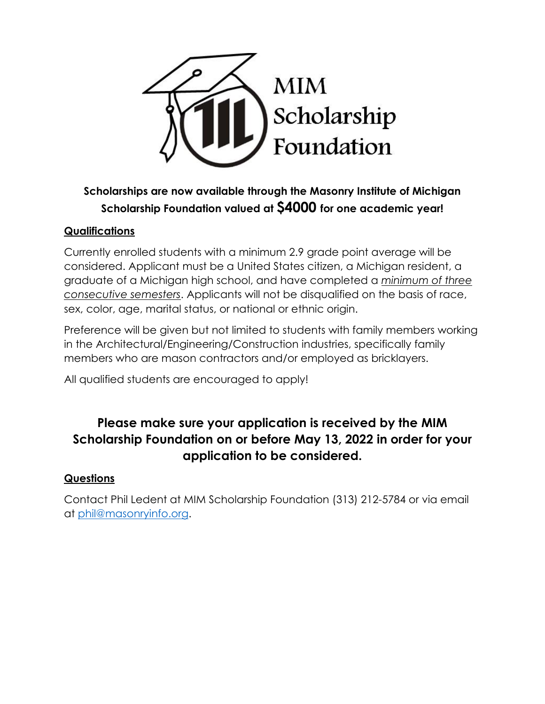

## **Scholarships are now available through the Masonry Institute of Michigan Scholarship Foundation valued at \$4000 for one academic year!**

### **Qualifications**

Currently enrolled students with a minimum 2.9 grade point average will be considered. Applicant must be a United States citizen, a Michigan resident, a graduate of a Michigan high school, and have completed a *minimum of three consecutive semesters*. Applicants will not be disqualified on the basis of race, sex, color, age, marital status, or national or ethnic origin.

Preference will be given but not limited to students with family members working in the Architectural/Engineering/Construction industries, specifically family members who are mason contractors and/or employed as bricklayers.

All qualified students are encouraged to apply!

## **Please make sure your application is received by the MIM Scholarship Foundation on or before May 13, 2022 in order for your application to be considered.**

#### **Questions**

Contact Phil Ledent at MIM Scholarship Foundation (313) 212-5784 or via email at [phil@masonryinfo.org.](mailto:phil@masonryinfo.org)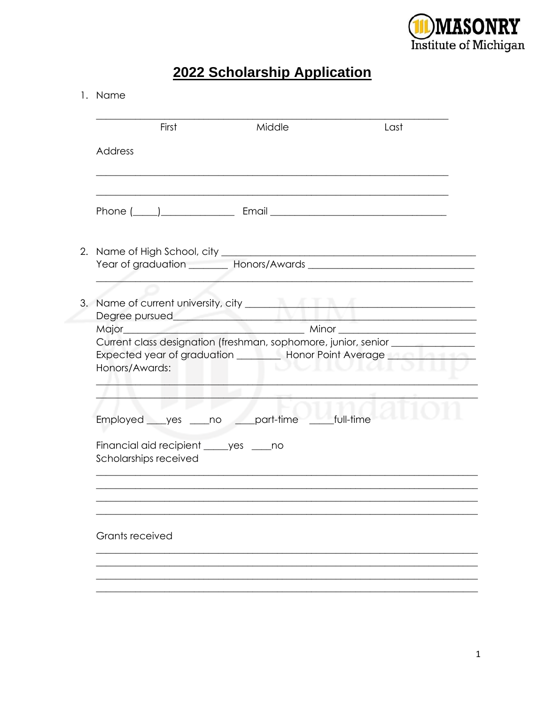

# 2022 Scholarship Application

#### 1. Name

|                 | First                 | Middle                                                                                                                                                                                                                         | Last   |
|-----------------|-----------------------|--------------------------------------------------------------------------------------------------------------------------------------------------------------------------------------------------------------------------------|--------|
| Address         |                       |                                                                                                                                                                                                                                |        |
|                 |                       |                                                                                                                                                                                                                                |        |
|                 |                       | Phone ( ) Email Email Email Contract Contract Contract Contract Contract Contract Contract Contract Contract Contract Contract Contract Contract Contract Contract Contract Contract Contract Contract Contract Contract Contr |        |
|                 |                       |                                                                                                                                                                                                                                |        |
|                 |                       |                                                                                                                                                                                                                                |        |
|                 |                       |                                                                                                                                                                                                                                |        |
|                 |                       |                                                                                                                                                                                                                                |        |
|                 |                       |                                                                                                                                                                                                                                |        |
|                 |                       | Current class designation (freshman, sophomore, junior, senior _________________                                                                                                                                               |        |
| Honors/Awards:  |                       | Expected year of graduation __________ Honor Point Average                                                                                                                                                                     | wuwiai |
|                 |                       | Employed yes no part-time full-time                                                                                                                                                                                            |        |
|                 | Scholarships received | Financial aid recipient _____ yes _____ no                                                                                                                                                                                     |        |
|                 |                       |                                                                                                                                                                                                                                |        |
|                 |                       |                                                                                                                                                                                                                                |        |
| Grants received |                       |                                                                                                                                                                                                                                |        |
|                 |                       |                                                                                                                                                                                                                                |        |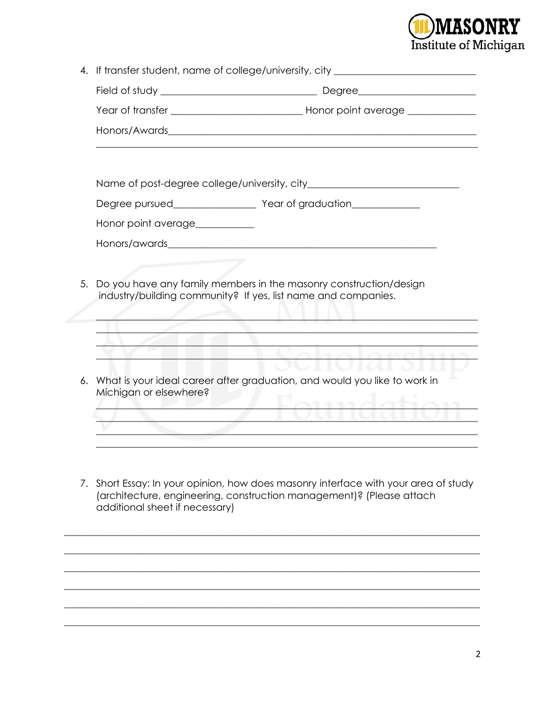

|                                      | 4. If transfer student, name of college/university, city _______________________                                                                         |
|--------------------------------------|----------------------------------------------------------------------------------------------------------------------------------------------------------|
|                                      |                                                                                                                                                          |
|                                      |                                                                                                                                                          |
|                                      |                                                                                                                                                          |
|                                      |                                                                                                                                                          |
|                                      |                                                                                                                                                          |
|                                      |                                                                                                                                                          |
| Honor point average___________       |                                                                                                                                                          |
|                                      |                                                                                                                                                          |
|                                      | industry/building community? If yes, list name and companies.                                                                                            |
|                                      | <u> Le Vahalavahu</u>                                                                                                                                    |
| 6.<br>Michigan or elsewhere?         | What is your ideal career after graduation, and would you like to work in                                                                                |
|                                      | ഷാഗിഷഹം                                                                                                                                                  |
|                                      |                                                                                                                                                          |
|                                      |                                                                                                                                                          |
|                                      |                                                                                                                                                          |
| 7.<br>additional sheet if necessary) | Short Essay: In your opinion, how does masonry interface with your area of study<br>(architecture, engineering, construction management)? (Please attach |